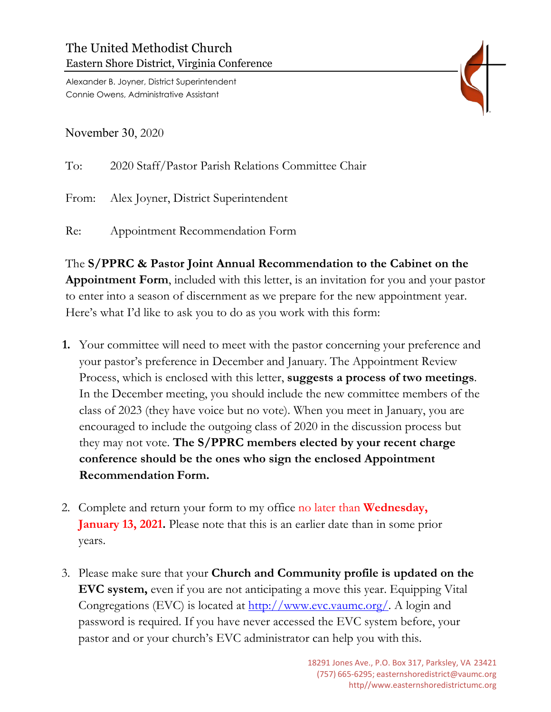Alexander B. Joyner, District Superintendent Connie Owens, Administrative Assistant

November 30, 2020

To: 2020 Staff/Pastor Parish Relations Committee Chair From: Alex Joyner, District Superintendent Re: Appointment Recommendation Form

The **S/PPRC & Pastor Joint Annual Recommendation to the Cabinet on the Appointment Form**, included with this letter, is an invitation for you and your pastor to enter into a season of discernment as we prepare for the new appointment year. Here's what I'd like to ask you to do as you work with this form:

- **1.** Your committee will need to meet with the pastor concerning your preference and your pastor's preference in December and January. The Appointment Review Process, which is enclosed with this letter, **suggests a process of two meetings**. In the December meeting, you should include the new committee members of the class of 2023 (they have voice but no vote). When you meet in January, you are encouraged to include the outgoing class of 2020 in the discussion process but they may not vote. **The S/PPRC members elected by your recent charge conference should be the ones who sign the enclosed Appointment Recommendation Form.**
- 2. Complete and return your form to my office no later than **Wednesday, January 13, 2021.** Please note that this is an earlier date than in some prior years.
- 3. Please make sure that your **Church and Community profile is updated on the EVC system,** even if you are not anticipating a move this year. Equipping Vital Congregations (EVC) is located at <u>http://www.evc.vaumc.org/</u>. A login and password is required. If you have never accessed the EVC system before, your pastor and or your church's EVC administrator can help you with this.